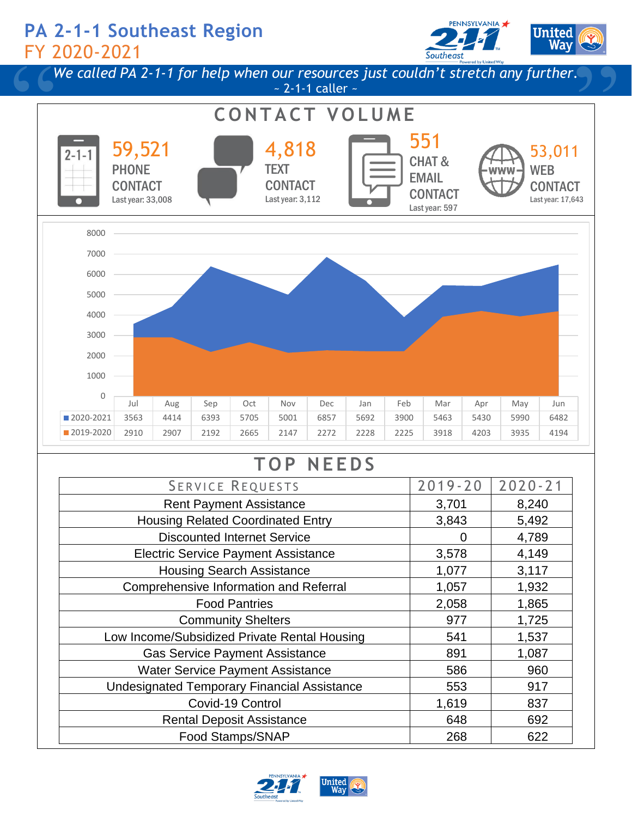## **PA 2-1-1 Southeast Region** FY 2020-2021





# **T O P N E E D S**

| <b>SERVICE REQUESTS</b>                            | $2019 - 20$ | $2020 - 21$ |
|----------------------------------------------------|-------------|-------------|
| <b>Rent Payment Assistance</b>                     | 3,701       | 8,240       |
| <b>Housing Related Coordinated Entry</b>           | 3,843       | 5,492       |
| <b>Discounted Internet Service</b>                 | 0           | 4,789       |
| <b>Electric Service Payment Assistance</b>         | 3,578       | 4,149       |
| <b>Housing Search Assistance</b>                   | 1,077       | 3,117       |
| Comprehensive Information and Referral             | 1,057       | 1,932       |
| <b>Food Pantries</b>                               | 2,058       | 1,865       |
| <b>Community Shelters</b>                          | 977         | 1,725       |
| Low Income/Subsidized Private Rental Housing       | 541         | 1,537       |
| <b>Gas Service Payment Assistance</b>              | 891         | 1,087       |
| <b>Water Service Payment Assistance</b>            | 586         | 960         |
| <b>Undesignated Temporary Financial Assistance</b> | 553         | 917         |
| Covid-19 Control                                   | 1,619       | 837         |
| <b>Rental Deposit Assistance</b>                   | 648         | 692         |
| Food Stamps/SNAP                                   | 268         | 622         |

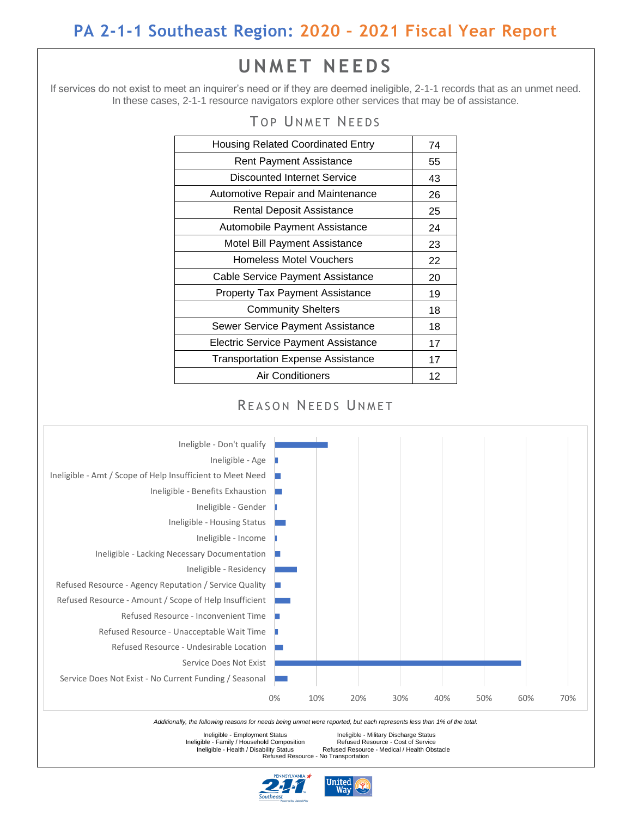## **PA 2-1-1 Southeast Region: 2020 – 2021 Fiscal Year Report**

## **U N M E T N E E D S**

If services do not exist to meet an inquirer's need or if they are deemed ineligible, 2-1-1 records that as an unmet need. In these cases, 2-1-1 resource navigators explore other services that may be of assistance.

| 01 011/1LI IILLDJ                        |    |
|------------------------------------------|----|
| <b>Housing Related Coordinated Entry</b> | 74 |
| <b>Rent Payment Assistance</b>           | 55 |
| <b>Discounted Internet Service</b>       | 43 |
| <b>Automotive Repair and Maintenance</b> | 26 |
| <b>Rental Deposit Assistance</b>         | 25 |
| Automobile Payment Assistance            | 24 |
| Motel Bill Payment Assistance            | 23 |
| <b>Homeless Motel Vouchers</b>           | 22 |
| Cable Service Payment Assistance         | 20 |
| <b>Property Tax Payment Assistance</b>   | 19 |
| <b>Community Shelters</b>                | 18 |
| Sewer Service Payment Assistance         | 18 |
| Electric Service Payment Assistance      | 17 |
| <b>Transportation Expense Assistance</b> | 17 |
| Air Conditioners                         | 12 |

### TOP IINMET NEEDS





Ineligible - Family / Household Composition<br>Ineligible - Health / Disability Status

Ineligible - Employment Status Ineligible - Military Discharge Status Refused Resource - Cost of Service<br>Refused Resource - Medical / Health Obstacle Refused Resource - No Transportation



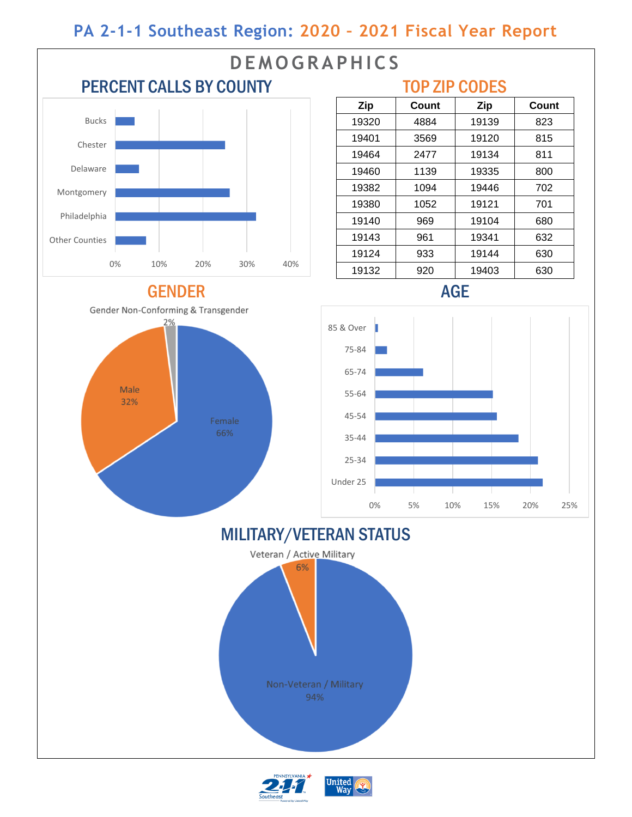## **PA 2-1-1 Southeast Region: 2020 – 2021 Fiscal Year Report**